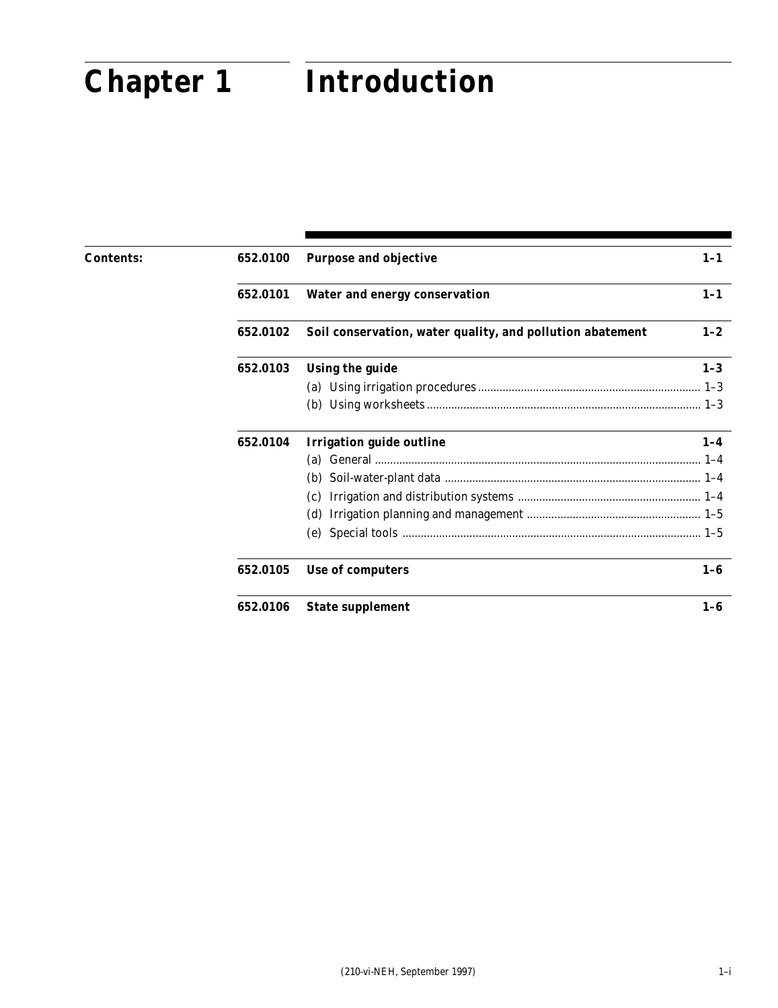# **Chapter 1 Introduction Chapter 1 Introduction**

| <b>Contents:</b> | 652.0100 | <b>Purpose and objective</b>                              | $1-1$   |
|------------------|----------|-----------------------------------------------------------|---------|
|                  | 652.0101 | <b>Water and energy conservation</b>                      | $1-1$   |
|                  | 652.0102 | Soil conservation, water quality, and pollution abatement | $1 - 2$ |
|                  | 652.0103 | <b>Using the guide</b>                                    | $1 - 3$ |
|                  |          |                                                           |         |
|                  |          | (b)                                                       |         |
|                  | 652.0104 | <b>Irrigation guide outline</b>                           | $1 - 4$ |
|                  |          | (a)                                                       |         |
|                  |          | (b)                                                       |         |
|                  |          | (c)                                                       |         |
|                  |          | (d)                                                       |         |
|                  |          | (e)                                                       |         |
|                  | 652.0105 | Use of computers                                          | $1-6$   |
|                  | 652.0106 | <b>State supplement</b>                                   | $1-6$   |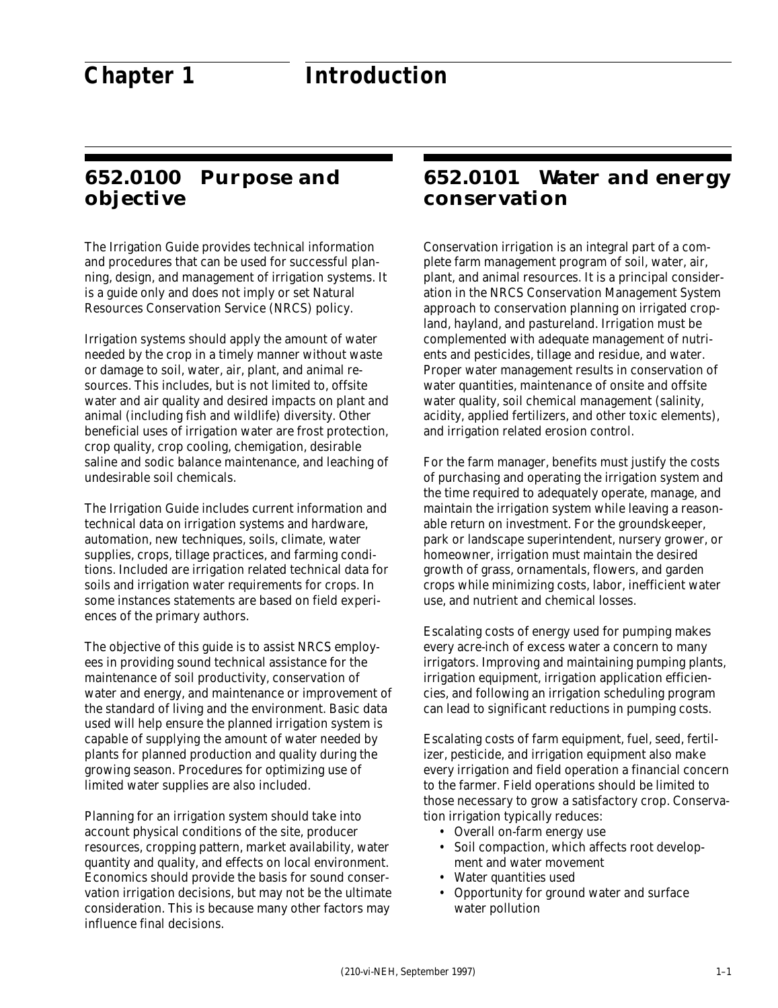# **652.0100 Purpose and objective**

The Irrigation Guide provides technical information and procedures that can be used for successful planning, design, and management of irrigation systems. It is a guide only and does not imply or set Natural Resources Conservation Service (NRCS) policy.

Irrigation systems should apply the amount of water needed by the crop in a timely manner without waste or damage to soil, water, air, plant, and animal resources. This includes, but is not limited to, offsite water and air quality and desired impacts on plant and animal (including fish and wildlife) diversity. Other beneficial uses of irrigation water are frost protection, crop quality, crop cooling, chemigation, desirable saline and sodic balance maintenance, and leaching of undesirable soil chemicals.

The Irrigation Guide includes current information and technical data on irrigation systems and hardware, automation, new techniques, soils, climate, water supplies, crops, tillage practices, and farming conditions. Included are irrigation related technical data for soils and irrigation water requirements for crops. In some instances statements are based on field experiences of the primary authors.

The objective of this guide is to assist NRCS employees in providing sound technical assistance for the maintenance of soil productivity, conservation of water and energy, and maintenance or improvement of the standard of living and the environment. Basic data used will help ensure the planned irrigation system is capable of supplying the amount of water needed by plants for planned production and quality during the growing season. Procedures for optimizing use of limited water supplies are also included.

Planning for an irrigation system should take into account physical conditions of the site, producer resources, cropping pattern, market availability, water quantity and quality, and effects on local environment. Economics should provide the basis for sound conservation irrigation decisions, but may not be the ultimate consideration. This is because many other factors may influence final decisions.

#### **652.0101 Water and energy conservation**

Conservation irrigation is an integral part of a complete farm management program of soil, water, air, plant, and animal resources. It is a principal consideration in the NRCS Conservation Management System approach to conservation planning on irrigated cropland, hayland, and pastureland. Irrigation must be complemented with adequate management of nutrients and pesticides, tillage and residue, and water. Proper water management results in conservation of water quantities, maintenance of onsite and offsite water quality, soil chemical management (salinity, acidity, applied fertilizers, and other toxic elements), and irrigation related erosion control.

For the farm manager, benefits must justify the costs of purchasing and operating the irrigation system and the time required to adequately operate, manage, and maintain the irrigation system while leaving a reasonable return on investment. For the groundskeeper, park or landscape superintendent, nursery grower, or homeowner, irrigation must maintain the desired growth of grass, ornamentals, flowers, and garden crops while minimizing costs, labor, inefficient water use, and nutrient and chemical losses.

Escalating costs of energy used for pumping makes every acre-inch of excess water a concern to many irrigators. Improving and maintaining pumping plants, irrigation equipment, irrigation application efficiencies, and following an irrigation scheduling program can lead to significant reductions in pumping costs.

Escalating costs of farm equipment, fuel, seed, fertilizer, pesticide, and irrigation equipment also make every irrigation and field operation a financial concern to the farmer. Field operations should be limited to those necessary to grow a satisfactory crop. Conservation irrigation typically reduces:

- Overall on-farm energy use
- Soil compaction, which affects root development and water movement
- Water quantities used
- Opportunity for ground water and surface water pollution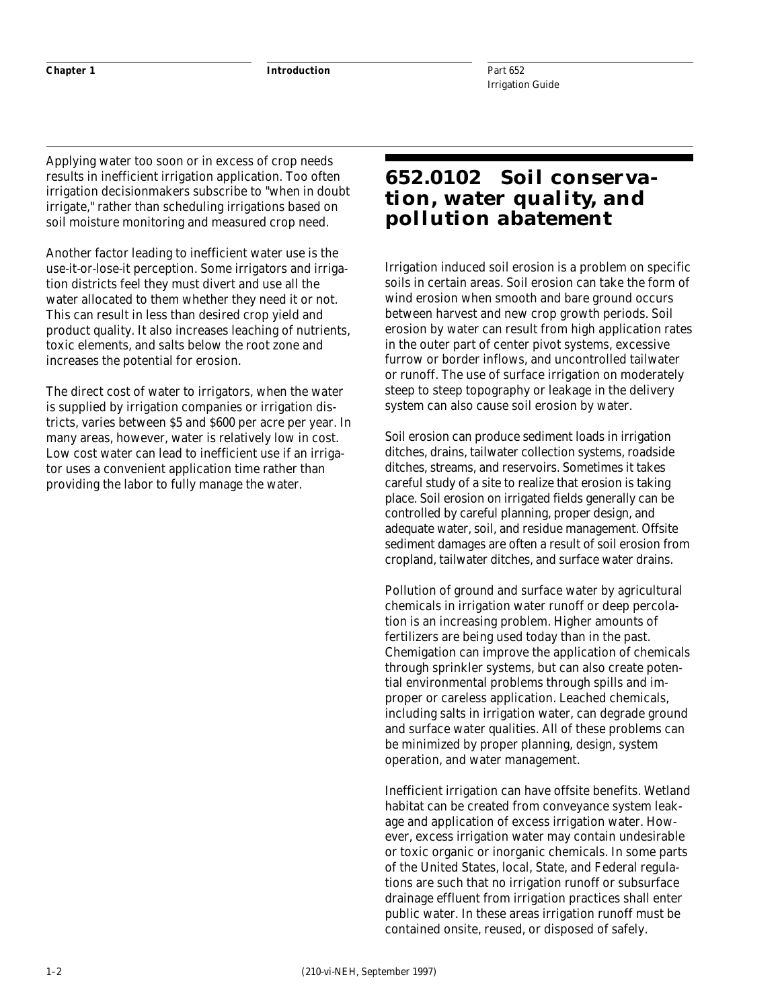**Chapter 1 Introduction**

Applying water too soon or in excess of crop needs results in inefficient irrigation application. Too often irrigation decisionmakers subscribe to "when in doubt irrigate," rather than scheduling irrigations based on soil moisture monitoring and measured crop need.

Another factor leading to inefficient water use is the use-it-or-lose-it perception. Some irrigators and irrigation districts feel they must divert and use all the water allocated to them whether they need it or not. This can result in less than desired crop yield and product quality. It also increases leaching of nutrients, toxic elements, and salts below the root zone and increases the potential for erosion.

The direct cost of water to irrigators, when the water is supplied by irrigation companies or irrigation districts, varies between \$5 and \$600 per acre per year. In many areas, however, water is relatively low in cost. Low cost water can lead to inefficient use if an irrigator uses a convenient application time rather than providing the labor to fully manage the water.

# **652.0102 Soil conservation, water quality, and pollution abatement**

Irrigation induced soil erosion is a problem on specific soils in certain areas. Soil erosion can take the form of wind erosion when smooth and bare ground occurs between harvest and new crop growth periods. Soil erosion by water can result from high application rates in the outer part of center pivot systems, excessive furrow or border inflows, and uncontrolled tailwater or runoff. The use of surface irrigation on moderately steep to steep topography or leakage in the delivery system can also cause soil erosion by water.

Soil erosion can produce sediment loads in irrigation ditches, drains, tailwater collection systems, roadside ditches, streams, and reservoirs. Sometimes it takes careful study of a site to realize that erosion is taking place. Soil erosion on irrigated fields generally can be controlled by careful planning, proper design, and adequate water, soil, and residue management. Offsite sediment damages are often a result of soil erosion from cropland, tailwater ditches, and surface water drains.

Pollution of ground and surface water by agricultural chemicals in irrigation water runoff or deep percolation is an increasing problem. Higher amounts of fertilizers are being used today than in the past. Chemigation can improve the application of chemicals through sprinkler systems, but can also create potential environmental problems through spills and improper or careless application. Leached chemicals, including salts in irrigation water, can degrade ground and surface water qualities. All of these problems can be minimized by proper planning, design, system operation, and water management.

Inefficient irrigation can have offsite benefits. Wetland habitat can be created from conveyance system leakage and application of excess irrigation water. However, excess irrigation water may contain undesirable or toxic organic or inorganic chemicals. In some parts of the United States, local, State, and Federal regulations are such that no irrigation runoff or subsurface drainage effluent from irrigation practices shall enter public water. In these areas irrigation runoff must be contained onsite, reused, or disposed of safely.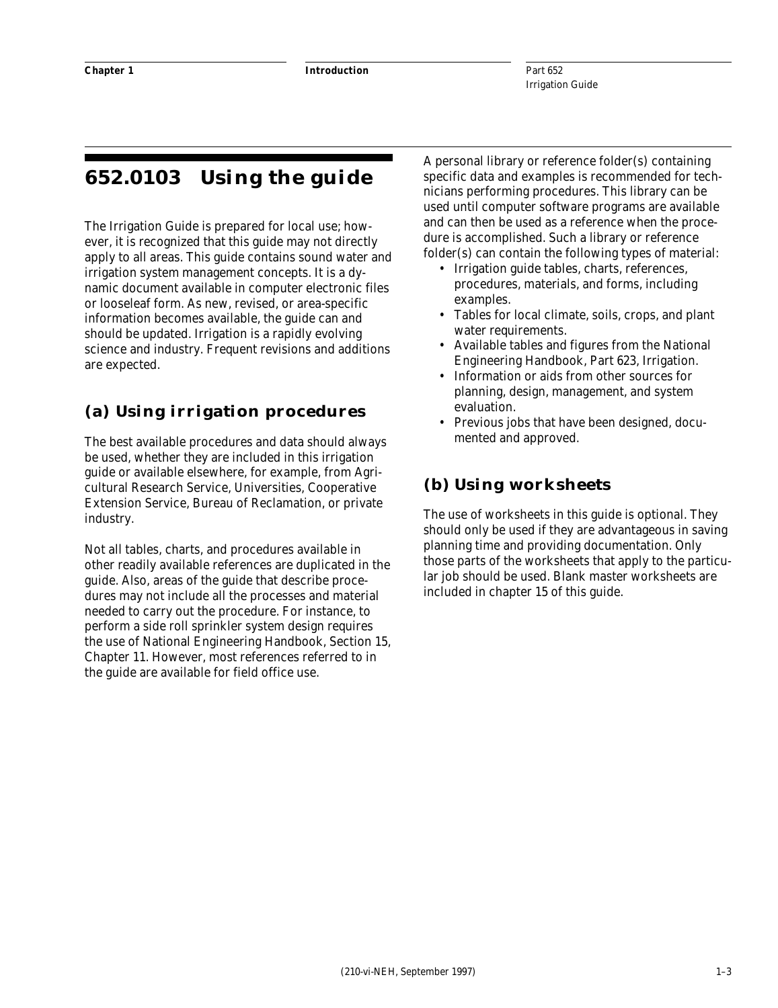# **652.0103 Using the guide**

The Irrigation Guide is prepared for local use; however, it is recognized that this guide may not directly apply to all areas. This guide contains sound water and irrigation system management concepts. It is a dynamic document available in computer electronic files or looseleaf form. As new, revised, or area-specific information becomes available, the guide can and should be updated. Irrigation is a rapidly evolving science and industry. Frequent revisions and additions are expected.

#### **(a) Using irrigation procedures**

The best available procedures and data should always be used, whether they are included in this irrigation guide or available elsewhere, for example, from Agricultural Research Service, Universities, Cooperative Extension Service, Bureau of Reclamation, or private industry.

Not all tables, charts, and procedures available in other readily available references are duplicated in the guide. Also, areas of the guide that describe procedures may not include all the processes and material needed to carry out the procedure. For instance, to perform a side roll sprinkler system design requires the use of National Engineering Handbook, Section 15, Chapter 11. However, most references referred to in the guide are available for field office use.

A personal library or reference folder(s) containing specific data and examples is recommended for technicians performing procedures. This library can be used until computer software programs are available and can then be used as a reference when the procedure is accomplished. Such a library or reference folder(s) can contain the following types of material:

- Irrigation guide tables, charts, references, procedures, materials, and forms, including examples.
- Tables for local climate, soils, crops, and plant water requirements.
- Available tables and figures from the National Engineering Handbook, Part 623, Irrigation.
- Information or aids from other sources for planning, design, management, and system evaluation.
- Previous jobs that have been designed, documented and approved.

#### **(b) Using worksheets**

The use of worksheets in this guide is optional. They should only be used if they are advantageous in saving planning time and providing documentation. Only those parts of the worksheets that apply to the particular job should be used. Blank master worksheets are included in chapter 15 of this guide.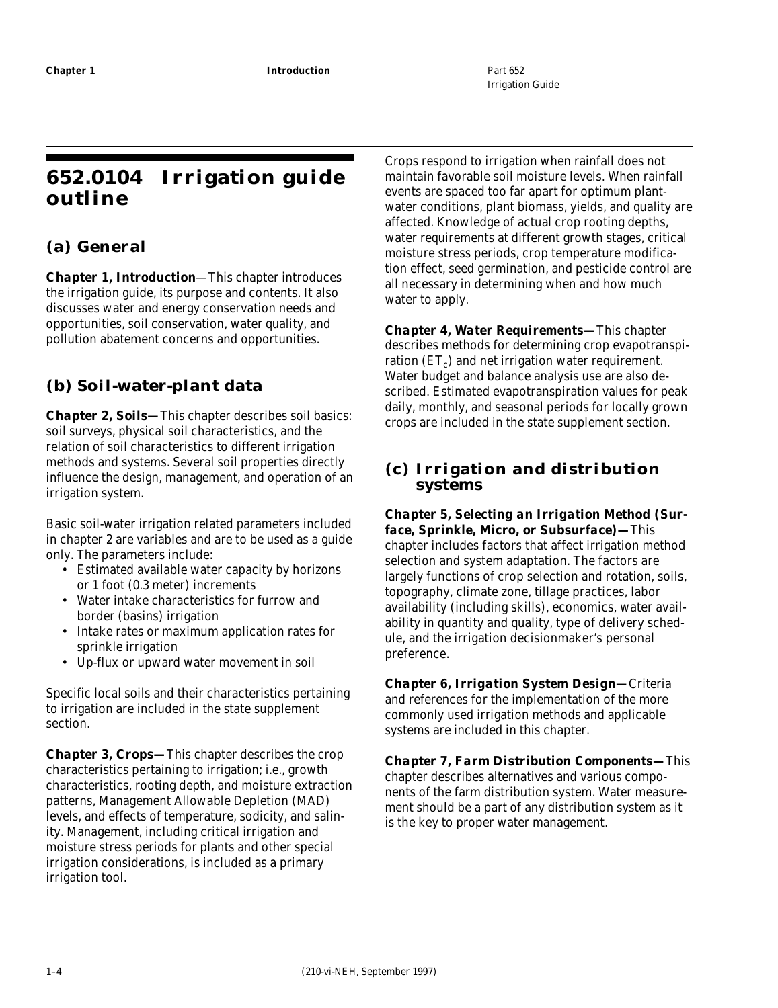Part 652 Irrigation Guide

# **652.0104 Irrigation guide outline**

#### **(a) General**

*Chapter 1, Introduction*—This chapter introduces the irrigation guide, its purpose and contents. It also discusses water and energy conservation needs and opportunities, soil conservation, water quality, and pollution abatement concerns and opportunities.

### **(b) Soil-water-plant data**

*Chapter 2, Soils—*This chapter describes soil basics: soil surveys, physical soil characteristics, and the relation of soil characteristics to different irrigation methods and systems. Several soil properties directly influence the design, management, and operation of an irrigation system.

Basic soil-water irrigation related parameters included in chapter 2 are variables and are to be used as a guide only. The parameters include:

- Estimated available water capacity by horizons or 1 foot (0.3 meter) increments
- Water intake characteristics for furrow and border (basins) irrigation
- Intake rates or maximum application rates for sprinkle irrigation
- Up-flux or upward water movement in soil

Specific local soils and their characteristics pertaining to irrigation are included in the state supplement section.

*Chapter 3, Crops—*This chapter describes the crop characteristics pertaining to irrigation; i.e., growth characteristics, rooting depth, and moisture extraction patterns, Management Allowable Depletion (MAD) levels, and effects of temperature, sodicity, and salinity. Management, including critical irrigation and moisture stress periods for plants and other special irrigation considerations, is included as a primary irrigation tool.

Crops respond to irrigation when rainfall does not maintain favorable soil moisture levels. When rainfall events are spaced too far apart for optimum plantwater conditions, plant biomass, yields, and quality are affected. Knowledge of actual crop rooting depths, water requirements at different growth stages, critical moisture stress periods, crop temperature modification effect, seed germination, and pesticide control are all necessary in determining when and how much water to apply.

*Chapter 4, Water Requirements—*This chapter describes methods for determining crop evapotranspiration  $(ET_c)$  and net irrigation water requirement. Water budget and balance analysis use are also described. Estimated evapotranspiration values for peak daily, monthly, and seasonal periods for locally grown crops are included in the state supplement section.

#### **(c) Irrigation and distribution systems**

*Chapter 5, Selecting an Irrigation Method (Surface, Sprinkle, Micro, or Subsurface)—*This chapter includes factors that affect irrigation method selection and system adaptation. The factors are largely functions of crop selection and rotation, soils, topography, climate zone, tillage practices, labor availability (including skills), economics, water availability in quantity and quality, type of delivery schedule, and the irrigation decisionmaker's personal preference.

*Chapter 6, Irrigation System Design—*Criteria and references for the implementation of the more commonly used irrigation methods and applicable systems are included in this chapter.

*Chapter 7, Farm Distribution Components—*This chapter describes alternatives and various components of the farm distribution system. Water measurement should be a part of any distribution system as it is the key to proper water management.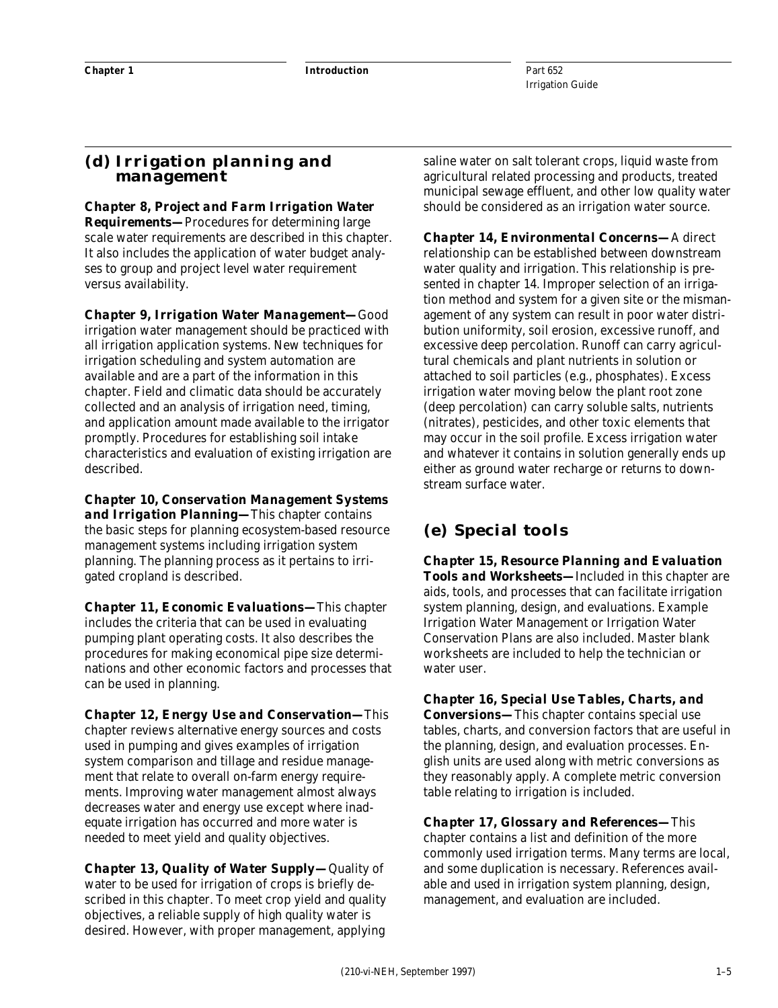#### **(d) Irrigation planning and management**

*Chapter 8, Project and Farm Irrigation Water Requirements—*Procedures for determining large scale water requirements are described in this chapter. It also includes the application of water budget analyses to group and project level water requirement versus availability.

*Chapter 9, Irrigation Water Management—*Good irrigation water management should be practiced with all irrigation application systems. New techniques for irrigation scheduling and system automation are available and are a part of the information in this chapter. Field and climatic data should be accurately collected and an analysis of irrigation need, timing, and application amount made available to the irrigator promptly. Procedures for establishing soil intake characteristics and evaluation of existing irrigation are described.

*Chapter 10, Conservation Management Systems and Irrigation Planning—*This chapter contains the basic steps for planning ecosystem-based resource management systems including irrigation system planning. The planning process as it pertains to irrigated cropland is described.

*Chapter 11, Economic Evaluations—*This chapter includes the criteria that can be used in evaluating pumping plant operating costs. It also describes the procedures for making economical pipe size determinations and other economic factors and processes that can be used in planning.

*Chapter 12, Energy Use and Conservation—*This chapter reviews alternative energy sources and costs used in pumping and gives examples of irrigation system comparison and tillage and residue management that relate to overall on-farm energy requirements. Improving water management almost always decreases water and energy use except where inadequate irrigation has occurred and more water is needed to meet yield and quality objectives.

*Chapter 13, Quality of Water Supply—*Quality of water to be used for irrigation of crops is briefly described in this chapter. To meet crop yield and quality objectives, a reliable supply of high quality water is desired. However, with proper management, applying

saline water on salt tolerant crops, liquid waste from agricultural related processing and products, treated municipal sewage effluent, and other low quality water should be considered as an irrigation water source.

*Chapter 14, Environmental Concerns—*A direct relationship can be established between downstream water quality and irrigation. This relationship is presented in chapter 14. Improper selection of an irrigation method and system for a given site or the mismanagement of any system can result in poor water distribution uniformity, soil erosion, excessive runoff, and excessive deep percolation. Runoff can carry agricultural chemicals and plant nutrients in solution or attached to soil particles (e.g., phosphates). Excess irrigation water moving below the plant root zone (deep percolation) can carry soluble salts, nutrients (nitrates), pesticides, and other toxic elements that may occur in the soil profile. Excess irrigation water and whatever it contains in solution generally ends up either as ground water recharge or returns to downstream surface water.

#### **(e) Special tools**

*Chapter 15, Resource Planning and Evaluation Tools and Worksheets—*Included in this chapter are aids, tools, and processes that can facilitate irrigation system planning, design, and evaluations. Example Irrigation Water Management or Irrigation Water Conservation Plans are also included. Master blank worksheets are included to help the technician or water user.

*Chapter 16, Special Use Tables, Charts, and Conversions—*This chapter contains special use tables, charts, and conversion factors that are useful in the planning, design, and evaluation processes. English units are used along with metric conversions as they reasonably apply. A complete metric conversion table relating to irrigation is included.

*Chapter 17, Glossary and References—*This chapter contains a list and definition of the more commonly used irrigation terms. Many terms are local, and some duplication is necessary. References available and used in irrigation system planning, design, management, and evaluation are included.